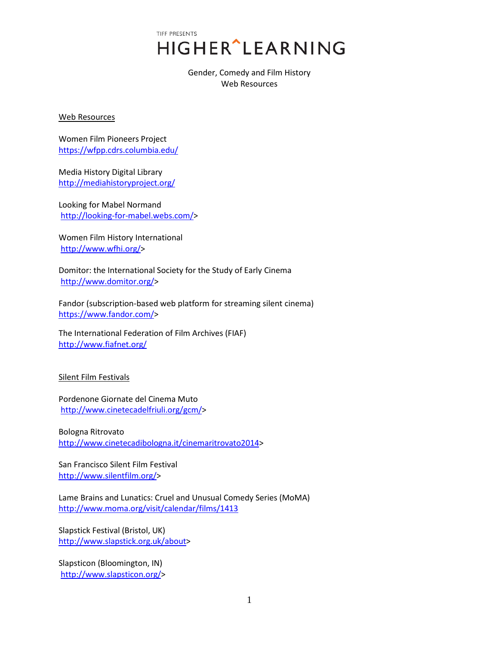TIFF PRESENTS **HIGHER**<sup>^</sup>LEARNING

> Gender, Comedy and Film History Web Resources

Web Resources

Women Film Pioneers Project <https://wfpp.cdrs.columbia.edu/>

Media History Digital Library <http://mediahistoryproject.org/>

Looking for Mabel Normand [http://looking-for-mabel.webs.com/>](http://looking-for-mabel.webs.com/)

Women Film History International [http://www.wfhi.org/>](http://www.wfhi.org/)

Domitor: the International Society for the Study of Early Cinema [http://www.domitor.org/>](http://www.domitor.org/)

Fandor (subscription-based web platform for streaming silent cinema) [https://www.fandor.com/>](https://www.fandor.com/)

The International Federation of Film Archives (FIAF) <http://www.fiafnet.org/>

Silent Film Festivals

Pordenone Giornate del Cinema Muto [http://www.cinetecadelfriuli.org/gcm/>](http://www.cinetecadelfriuli.org/gcm/)

Bologna Ritrovato [http://www.cinetecadibologna.it/cinemaritrovato2014>](http://www.cinetecadibologna.it/cinemaritrovato2014)

San Francisco Silent Film Festival [http://www.silentfilm.org/>](http://www.silentfilm.org/)

Lame Brains and Lunatics: Cruel and Unusual Comedy Series (MoMA) <http://www.moma.org/visit/calendar/films/1413>

Slapstick Festival (Bristol, UK) [http://www.slapstick.org.uk/about>](http://www.slapstick.org.uk/about)

Slapsticon (Bloomington, IN) [http://www.slapsticon.org/>](http://www.slapsticon.org/)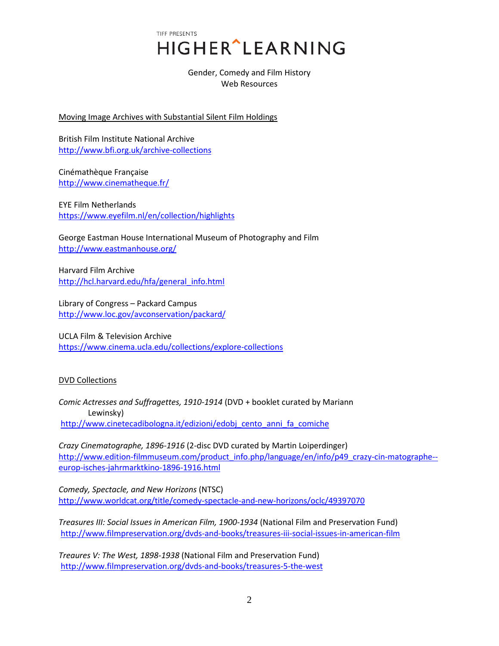TIFF PRESENTS HIGHER^LEARNING

> Gender, Comedy and Film History Web Resources

Moving Image Archives with Substantial Silent Film Holdings

British Film Institute National Archive <http://www.bfi.org.uk/archive-collections>

Cinémathèque Française <http://www.cinematheque.fr/>

EYE Film Netherlands <https://www.eyefilm.nl/en/collection/highlights>

George Eastman House International Museum of Photography and Film <http://www.eastmanhouse.org/>

Harvard Film Archive [http://hcl.harvard.edu/hfa/general\\_info.html](http://hcl.harvard.edu/hfa/general_info.html)

Library of Congress – Packard Campus <http://www.loc.gov/avconservation/packard/>

UCLA Film & Television Archive <https://www.cinema.ucla.edu/collections/explore-collections>

## DVD Collections

*Comic Actresses and Suffragettes, 1910-1914* (DVD + booklet curated by Mariann Lewinsky) [http://www.cinetecadibologna.it/edizioni/edobj\\_cento\\_anni\\_fa\\_comiche](http://www.cinetecadibologna.it/edizioni/edobj_cento_anni_fa_comiche)

*Crazy Cinematographe, 1896-1916* (2-disc DVD curated by Martin Loiperdinger) [http://www.edition-filmmuseum.com/product\\_info.php/language/en/info/p49\\_crazy-cin-matographe-](http://www.edition-filmmuseum.com/product_info.php/language/en/info/p49_crazy-cin-matographe--europ-isches-jahrmarktkino-1896-1916.html) [europ-isches-jahrmarktkino-1896-1916.html](http://www.edition-filmmuseum.com/product_info.php/language/en/info/p49_crazy-cin-matographe--europ-isches-jahrmarktkino-1896-1916.html)

*Comedy, Spectacle, and New Horizons* (NTSC) <http://www.worldcat.org/title/comedy-spectacle-and-new-horizons/oclc/49397070>

*Treasures III: Social Issues in American Film, 1900-1934* (National Film and Preservation Fund) <http://www.filmpreservation.org/dvds-and-books/treasures-iii-social-issues-in-american-film>

*Treaures V: The West, 1898-1938* (National Film and Preservation Fund) <http://www.filmpreservation.org/dvds-and-books/treasures-5-the-west>